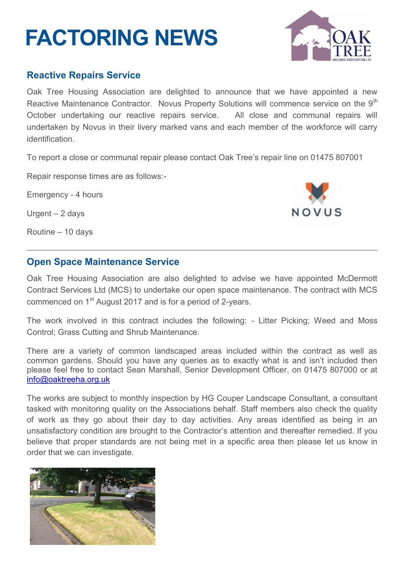# **FACTORING NEWS**



### **Reactive Repairs Service**

Oak Tree Housing Association are delighted to announce that we have appointed a new Reactive Maintenance Contractor. Novus Property Solutions will commence service on the 9<sup>th</sup> October undertaking our reactive repairs service. All close and communal repairs will undertaken by Novus in their livery marked vans and each member of the workforce will carry identification.

To report a close or communal repair please contact Oak Tree's repair line on 01475 807001

Repair response times are as follows:-

Emergency - 4 hours

Urgent – 2 days

Routine – 10 days

[info@oaktreeha.org.uk.](mailto:info@oaktreeha.org.uk)



## **Open Space Maintenance Service**

Oak Tree Housing Association are also delighted to advise we have appointed McDermott Contract Services Ltd (MCS) to undertake our open space maintenance. The contract with MCS commenced on 1<sup>st</sup> August 2017 and is for a period of 2-years.

The work involved in this contract includes the following: - Litter Picking; Weed and Moss Control; Grass Cutting and Shrub Maintenance.

There are a variety of common landscaped areas included within the contract as well as common gardens. Should you have any queries as to exactly what is and isn't included then please feel free to contact Sean Marshall, Senior Development Officer, on 01475 807000 or at info@oaktreeha.org.uk

The works are subject to monthly inspection by HG Couper Landscape Consultant, a consultant tasked with monitoring quality on the Associations behalf. Staff members also check the quality of work as they go about their day to day activities. Any areas identified as being in an unsatisfactory condition are brought to the Contractor's attention and thereafter remedied. If you believe that proper standards are not being met in a specific area then please let us know in order that we can investigate.